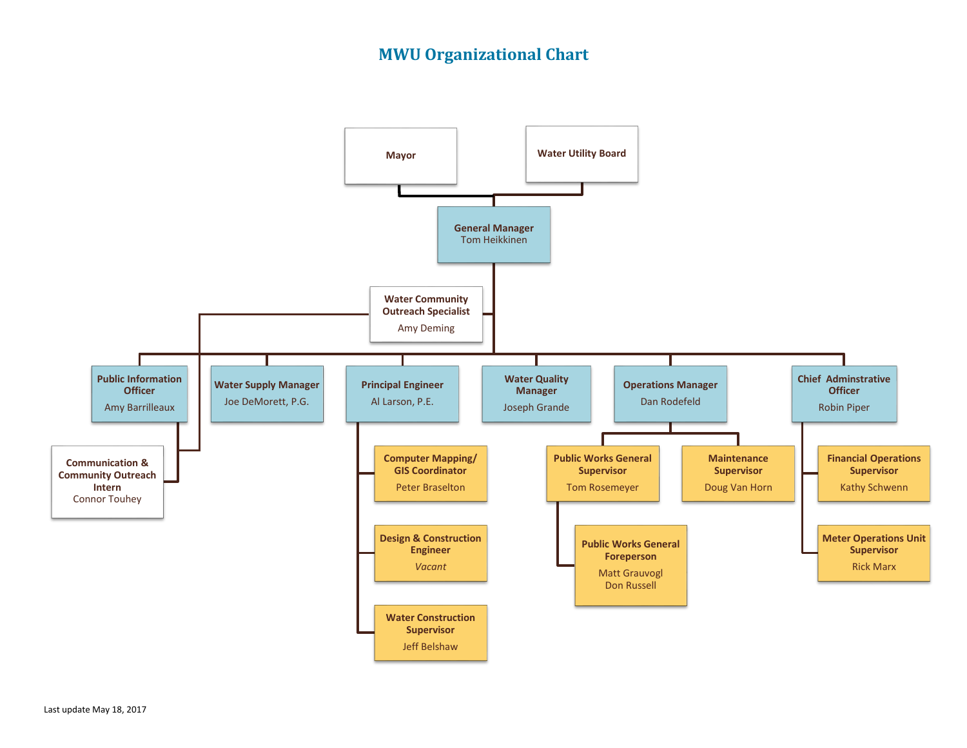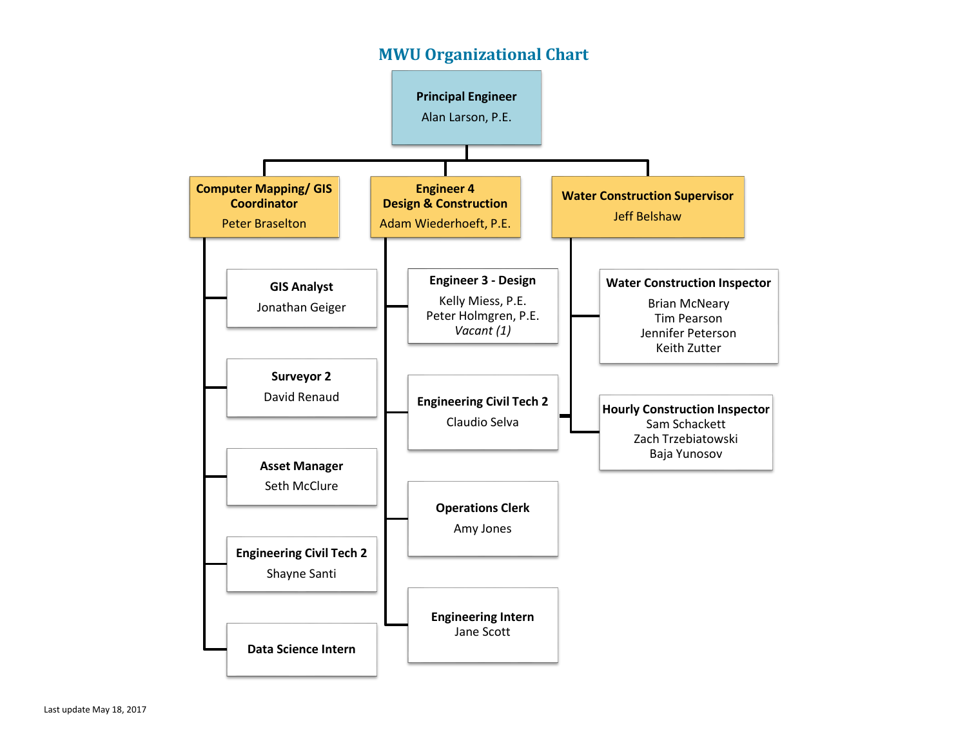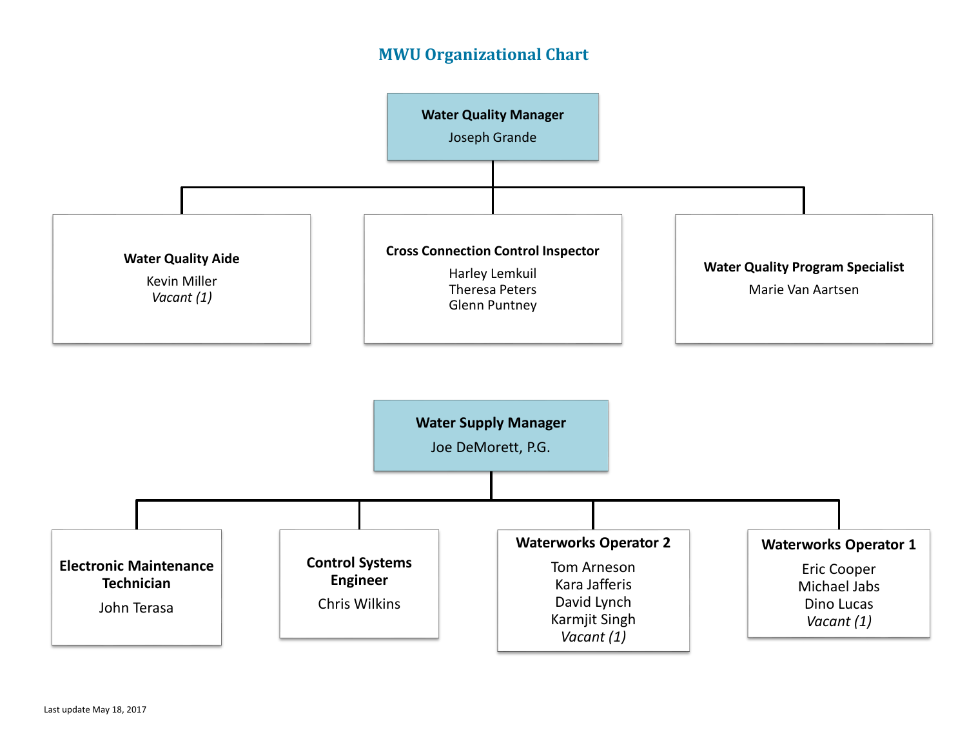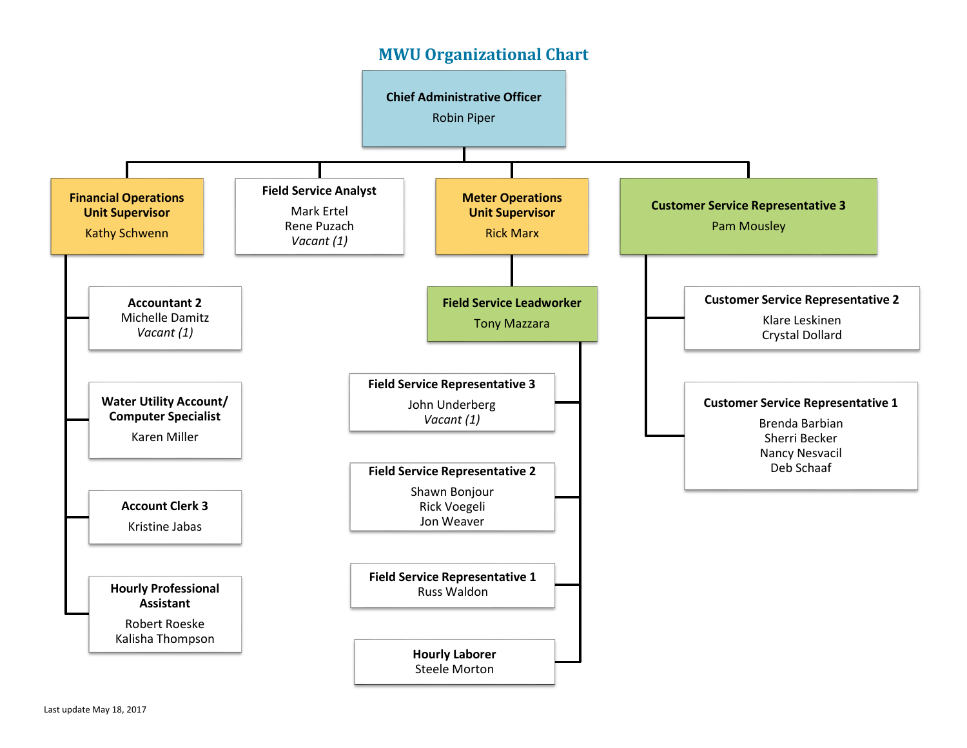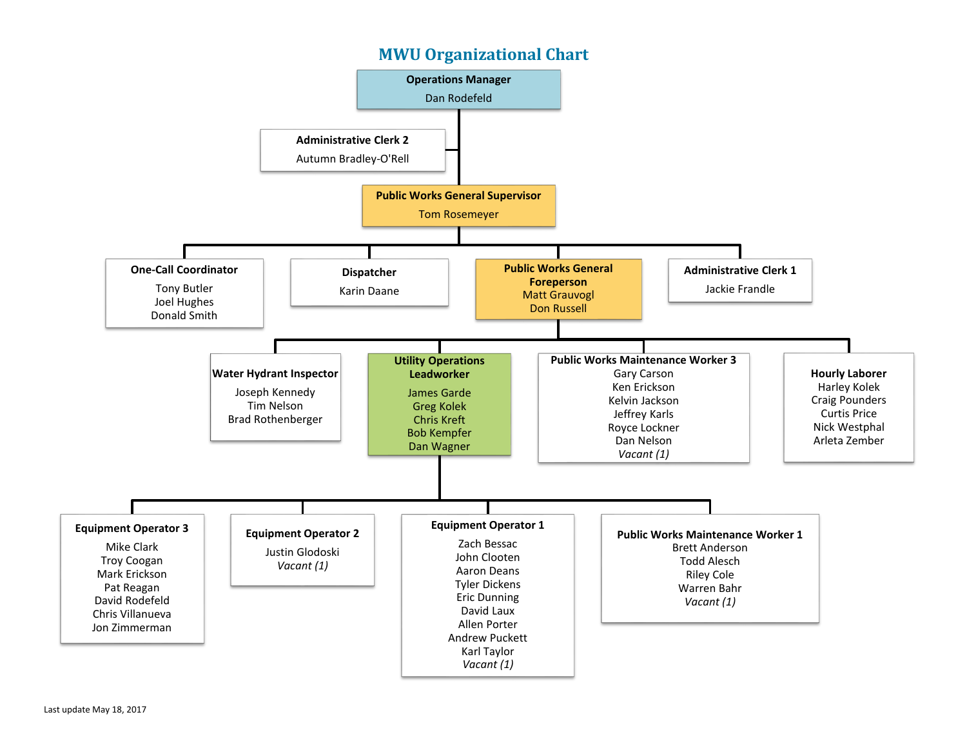